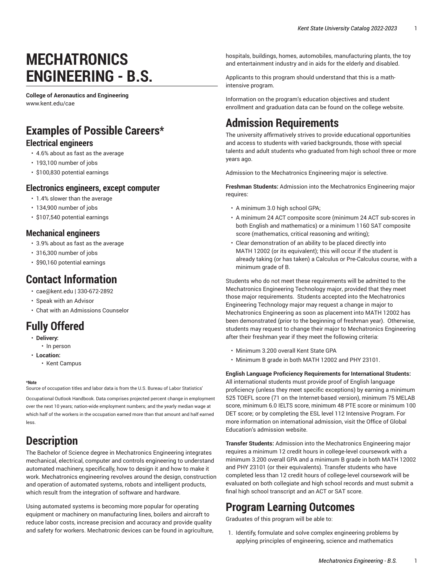# **MECHATRONICS ENGINEERING - B.S.**

**College of Aeronautics and Engineering** [www.kent.edu/cae](http://www.kent.edu/cae/)

## **Examples of Possible Careers\***

#### **Electrical engineers**

- 4.6% about as fast as the average
- 193,100 number of jobs
- \$100,830 potential earnings

#### **Electronics engineers, except computer**

- 1.4% slower than the average
- 134,900 number of jobs
- \$107,540 potential earnings

#### **Mechanical engineers**

- 3.9% about as fast as the average
- 316,300 number of jobs
- \$90,160 potential earnings

#### **Contact Information**

- [cae@kent.edu](mailto:cae@kent.edu) | 330-672-2892
- [Speak with an Advisor](https://www.kent.edu/cae/advising/)
- [Chat with an Admissions Counselor](https://www.kent.edu/admissions/undergraduate/schedule-visit/)

## **Fully Offered**

- **Delivery:**
- In person
- **Location:**
	- Kent Campus

#### **\*Note**

Source of occupation titles and labor data is from the U.S. Bureau of Labor Statistics'

[Occupational Outlook Handbook](https://data.bls.gov/projections/occupationProj/). Data comprises projected percent change in employment over the next 10 years; nation-wide employment numbers; and the yearly median wage at which half of the workers in the occupation earned more than that amount and half earned less.

### **Description**

The Bachelor of Science degree in Mechatronics Engineering integrates mechanical, electrical, computer and controls engineering to understand automated machinery, specifically, how to design it and how to make it work. Mechatronics engineering revolves around the design, construction and operation of automated systems, robots and intelligent products, which result from the integration of software and hardware.

Using automated systems is becoming more popular for operating equipment or machinery on manufacturing lines, boilers and aircraft to reduce labor costs, increase precision and accuracy and provide quality and safety for workers. Mechatronic devices can be found in agriculture, hospitals, buildings, homes, automobiles, manufacturing plants, the toy and entertainment industry and in aids for the elderly and disabled.

Applicants to this program should understand that this is a mathintensive program.

Information on the program's education objectives and student enrollment and graduation data can be found on the [college website.](https://www.kent.edu/cae/bachelor-science-mechatronics-engineering/)

## **Admission Requirements**

The university affirmatively strives to provide educational opportunities and access to students with varied backgrounds, those with special talents and adult students who graduated from high school three or more years ago.

Admission to the Mechatronics Engineering major is selective.

**Freshman Students:** Admission into the Mechatronics Engineering major requires:

- A minimum 3.0 high school GPA;
- A minimum 24 ACT composite score (minimum 24 ACT sub-scores in both English and mathematics) or a minimum 1160 SAT composite score (mathematics, critical reasoning and writing);
- Clear demonstration of an ability to be placed directly into MATH 12002 (or its equivalent); this will occur if the student is already taking (or has taken) a Calculus or Pre-Calculus course, with a minimum grade of B.

Students who do not meet these requirements will be admitted to the [Mechatronics](http://catalog.kent.edu/colleges/ar/mechatronics-engineering-technology-bs/) Engineering Technology major, provided that they meet those major requirements. Students accepted into the [Mechatronics](http://catalog.kent.edu/colleges/ar/mechatronics-engineering-technology-bs/) [Engineering](http://catalog.kent.edu/colleges/ar/mechatronics-engineering-technology-bs/) Technology major may request a change in major to Mechatronics Engineering as soon as placement into MATH 12002 has been demonstrated (prior to the beginning of freshman year). Otherwise, students may request to change their major to Mechatronics Engineering after their freshman year if they meet the following criteria:

- Minimum 3.200 overall Kent State GPA
- Minimum B grade in both MATH 12002 and PHY 23101.

#### **English Language Proficiency Requirements for International Students:**

All international students must provide proof of English language proficiency (unless they meet specific exceptions) by earning a minimum 525 TOEFL score (71 on the Internet-based version), minimum 75 MELAB score, minimum 6.0 IELTS score, minimum 48 PTE score or minimum 100 DET score; or by completing the ESL level 112 Intensive Program. For more information on international admission, visit the [Office of Global](http://www.kent.edu/globaleducation/international-admissions/) [Education's](http://www.kent.edu/globaleducation/international-admissions/) admission website.

**Transfer Students:** Admission into the Mechatronics Engineering major requires a minimum 12 credit hours in college-level coursework with a minimum 3.200 overall GPA and a minimum B grade in both MATH 12002 and PHY 23101 (or their equivalents). Transfer students who have completed less than 12 credit hours of college-level coursework will be evaluated on both collegiate and high school records and must submit a final high school transcript and an ACT or SAT score.

#### **Program Learning Outcomes**

Graduates of this program will be able to:

1. Identify, formulate and solve complex engineering problems by applying principles of engineering, science and mathematics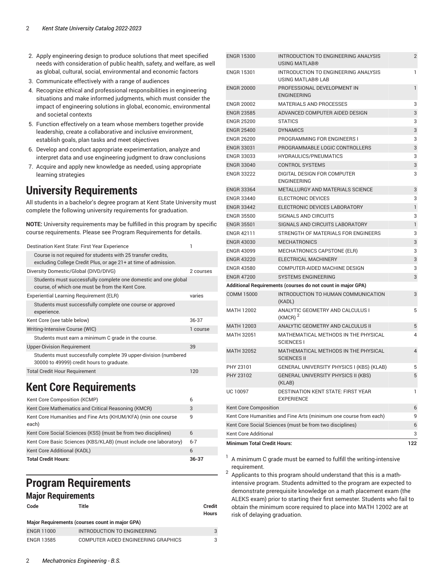- 2. Apply engineering design to produce solutions that meet specified needs with consideration of public health, safety, and welfare, as well as global, cultural, social, environmental and economic factors
- 3. Communicate effectively with a range of audiences
- 4. Recognize ethical and professional responsibilities in engineering situations and make informed judgments, which must consider the impact of engineering solutions in global, economic, environmental and societal contexts
- 5. Function effectively on a team whose members together provide leadership, create a collaborative and inclusive environment, establish goals, plan tasks and meet objectives
- 6. Develop and conduct appropriate experimentation, analyze and interpret data and use engineering judgment to draw conclusions
- 7. Acquire and apply new knowledge as needed, using appropriate learning strategies

#### **University Requirements**

All students in a bachelor's degree program at Kent State University must complete the following university requirements for graduation.

**NOTE:** University requirements may be fulfilled in this program by specific course requirements. Please see Program Requirements for details.

| Destination Kent State: First Year Experience                                                                                    |           |
|----------------------------------------------------------------------------------------------------------------------------------|-----------|
| Course is not required for students with 25 transfer credits.<br>excluding College Credit Plus, or age 21+ at time of admission. |           |
| Diversity Domestic/Global (DIVD/DIVG)                                                                                            | 2 courses |
| Students must successfully complete one domestic and one global<br>course, of which one must be from the Kent Core.              |           |
| Experiential Learning Requirement (ELR)                                                                                          | varies    |
| Students must successfully complete one course or approved<br>experience.                                                        |           |
| Kent Core (see table below)                                                                                                      | 36-37     |
| Writing-Intensive Course (WIC)                                                                                                   | 1 course  |
| Students must earn a minimum C grade in the course.                                                                              |           |
| <b>Upper-Division Requirement</b>                                                                                                | 39        |
| Students must successfully complete 39 upper-division (numbered<br>30000 to 49999) credit hours to graduate.                     |           |
| <b>Total Credit Hour Requirement</b>                                                                                             | 120       |

## <span id="page-1-0"></span>**Kent Core Requirements**

| Kent Core Composition (KCMP)                                           |       |  |
|------------------------------------------------------------------------|-------|--|
| Kent Core Mathematics and Critical Reasoning (KMCR)                    | 3     |  |
| Kent Core Humanities and Fine Arts (KHUM/KFA) (min one course<br>each) |       |  |
| Kent Core Social Sciences (KSS) (must be from two disciplines)         | 6     |  |
| Kent Core Basic Sciences (KBS/KLAB) (must include one laboratory)      |       |  |
| Kent Core Additional (KADL)                                            |       |  |
| <b>Total Credit Hours:</b>                                             | 36-37 |  |

## **Program Requirements**

#### **Major Requirements**

| Code              | Title                                           | Credit<br><b>Hours</b> |
|-------------------|-------------------------------------------------|------------------------|
|                   | Major Requirements (courses count in major GPA) |                        |
| <b>ENGR 11000</b> | INTRODUCTION TO ENGINEERING                     | 3                      |
| <b>ENGR 13585</b> | COMPUTER AIDED ENGINEERING GRAPHICS             |                        |

| <b>ENGR 15300</b>                                                 | INTRODUCTION TO ENGINEERING ANALYSIS<br>USING MATLAB®            | 2            |  |
|-------------------------------------------------------------------|------------------------------------------------------------------|--------------|--|
| <b>ENGR 15301</b>                                                 | INTRODUCTION TO ENGINEERING ANALYSIS<br><b>USING MATLAB® LAB</b> | 1            |  |
| <b>ENGR 20000</b>                                                 | PROFESSIONAL DEVELOPMENT IN<br><b>ENGINEERING</b>                | $\mathbf{1}$ |  |
| <b>ENGR 20002</b>                                                 | <b>MATERIALS AND PROCESSES</b>                                   | 3            |  |
| <b>ENGR 23585</b>                                                 | ADVANCED COMPUTER AIDED DESIGN                                   | 3            |  |
| <b>ENGR 25200</b>                                                 | <b>STATICS</b>                                                   | 3            |  |
| <b>ENGR 25400</b>                                                 | <b>DYNAMICS</b>                                                  | 3            |  |
| <b>ENGR 26200</b>                                                 | PROGRAMMING FOR ENGINEERS I                                      | 3            |  |
| <b>ENGR 33031</b>                                                 | PROGRAMMABLE LOGIC CONTROLLERS                                   | 3            |  |
| <b>ENGR 33033</b>                                                 | <b>HYDRAULICS/PNEUMATICS</b>                                     | 3            |  |
| <b>ENGR 33040</b>                                                 | <b>CONTROL SYSTEMS</b>                                           | 3            |  |
| <b>ENGR 33222</b>                                                 | DIGITAL DESIGN FOR COMPUTER<br><b>ENGINEERING</b>                | 3            |  |
| <b>ENGR 33364</b>                                                 | <b>METALLURGY AND MATERIALS SCIENCE</b>                          | 3            |  |
| <b>ENGR 33440</b>                                                 | ELECTRONIC DEVICES                                               | 3            |  |
| <b>ENGR 33442</b>                                                 | ELECTRONIC DEVICES LABORATORY                                    | $\mathbf{1}$ |  |
| <b>ENGR 35500</b>                                                 | <b>SIGNALS AND CIRCUITS</b>                                      | 3            |  |
| <b>ENGR 35501</b>                                                 | SIGNALS AND CIRCUITS LABORATORY                                  | $\mathbf{1}$ |  |
| <b>ENGR 42111</b>                                                 | STRENGTH OF MATERIALS FOR ENGINEERS                              | 3            |  |
| <b>ENGR 43030</b>                                                 | <b>MECHATRONICS</b>                                              | 3            |  |
| <b>ENGR 43099</b>                                                 | MECHATRONICS CAPSTONE (ELR)                                      | 3            |  |
| <b>ENGR 43220</b>                                                 | <b>ELECTRICAL MACHINERY</b>                                      | 3            |  |
| <b>ENGR 43580</b>                                                 | COMPUTER-AIDED MACHINE DESIGN                                    | 3            |  |
| <b>ENGR 47200</b>                                                 | <b>SYSTEMS ENGINEERING</b>                                       | 3            |  |
|                                                                   | Additional Requirements (courses do not count in major GPA)      |              |  |
| <b>COMM 15000</b>                                                 | INTRODUCTION TO HUMAN COMMUNICATION<br>(KADL)                    | 3            |  |
| <b>MATH 12002</b>                                                 | ANALYTIC GEOMETRY AND CALCULUS I<br>$(KMCR)^2$                   | 5            |  |
| <b>MATH 12003</b>                                                 | ANALYTIC GEOMETRY AND CALCULUS II                                | 5            |  |
| MATH 32051                                                        | MATHEMATICAL METHODS IN THE PHYSICAL<br><b>SCIENCES I</b>        | 4            |  |
| <b>MATH 32052</b>                                                 | MATHEMATICAL METHODS IN THE PHYSICAL<br><b>SCIENCES II</b>       | 4            |  |
| PHY 23101                                                         | GENERAL UNIVERSITY PHYSICS I (KBS) (KLAB)                        | 5            |  |
| PHY 23102                                                         | <b>GENERAL UNIVERSITY PHYSICS II (KBS)</b><br>(KLAB)             | 5            |  |
| UC 10097                                                          | DESTINATION KENT STATE: FIRST YEAR<br><b>EXPERIENCE</b>          | 1            |  |
| Kent Core Composition                                             |                                                                  | 6            |  |
| Kent Core Humanities and Fine Arts (minimum one course from each) |                                                                  |              |  |
|                                                                   | Kent Core Social Sciences (must be from two disciplines)         | 6            |  |
| Kent Core Additional                                              |                                                                  | 3            |  |
| <b>Minimum Total Credit Hours:</b><br>122                         |                                                                  |              |  |

1 A minimum C grade must be earned to fulfill the writing-intensive requirement.

2 Applicants to this program should understand that this is a mathintensive program. Students admitted to the program are expected to demonstrate prerequisite knowledge on a math placement exam (the ALEKS exam) prior to starting their first semester. Students who fail to obtain the minimum score required to place into MATH 12002 are at risk of delaying graduation.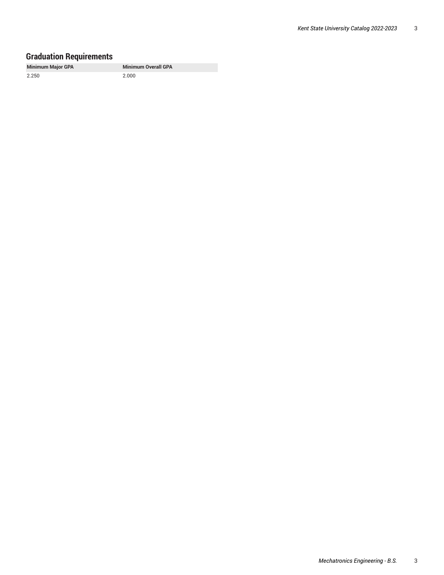#### **Graduation Requirements**

**Minimum Major GPA Minimum Overall GPA**

2.250 2.000